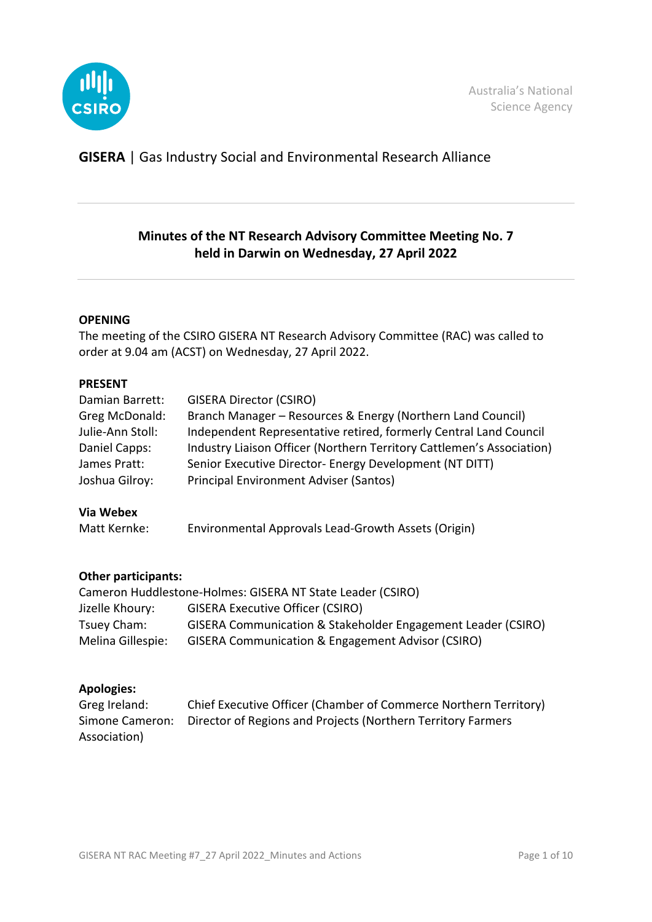

**GISERA** | Gas Industry Social and Environmental Research Alliance

# **Minutes of the NT Research Advisory Committee Meeting No. 7 held in Darwin on Wednesday, 27 April 2022**

### **OPENING**

The meeting of the CSIRO GISERA NT Research Advisory Committee (RAC) was called to order at 9.04 am (ACST) on Wednesday, 27 April 2022.

### **PRESENT**

| Damian Barrett:  | <b>GISERA Director (CSIRO)</b>                                        |
|------------------|-----------------------------------------------------------------------|
| Greg McDonald:   | Branch Manager – Resources & Energy (Northern Land Council)           |
| Julie-Ann Stoll: | Independent Representative retired, formerly Central Land Council     |
| Daniel Capps:    | Industry Liaison Officer (Northern Territory Cattlemen's Association) |
| James Pratt:     | Senior Executive Director- Energy Development (NT DITT)               |
| Joshua Gilroy:   | <b>Principal Environment Adviser (Santos)</b>                         |

### **Via Webex**

| Matt Kernke: | Environmental Approvals Lead-Growth Assets (Origin) |
|--------------|-----------------------------------------------------|
|--------------|-----------------------------------------------------|

### **Other participants:**

|                   | Cameron Huddlestone-Holmes: GISERA NT State Leader (CSIRO)   |
|-------------------|--------------------------------------------------------------|
| Jizelle Khoury:   | <b>GISERA Executive Officer (CSIRO)</b>                      |
| Tsuey Cham:       | GISERA Communication & Stakeholder Engagement Leader (CSIRO) |
| Melina Gillespie: | <b>GISERA Communication &amp; Engagement Advisor (CSIRO)</b> |

### **Apologies:**

| Greg Ireland: | Chief Executive Officer (Chamber of Commerce Northern Territory)             |
|---------------|------------------------------------------------------------------------------|
|               | Simone Cameron: Director of Regions and Projects (Northern Territory Farmers |
| Association)  |                                                                              |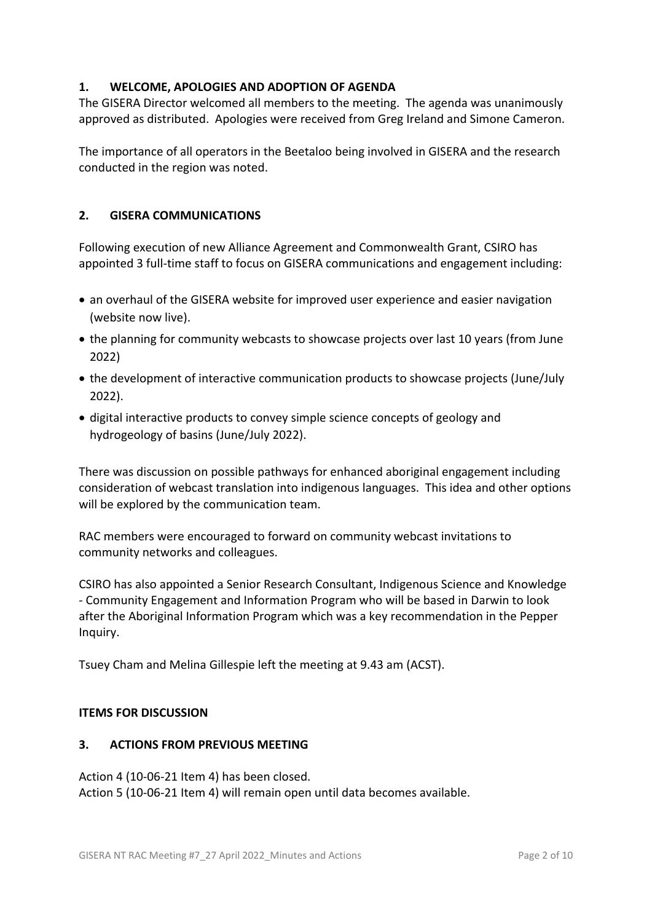# **1. WELCOME, APOLOGIES AND ADOPTION OF AGENDA**

The GISERA Director welcomed all members to the meeting. The agenda was unanimously approved as distributed. Apologies were received from Greg Ireland and Simone Cameron.

The importance of all operators in the Beetaloo being involved in GISERA and the research conducted in the region was noted.

### **2. GISERA COMMUNICATIONS**

Following execution of new Alliance Agreement and Commonwealth Grant, CSIRO has appointed 3 full-time staff to focus on GISERA communications and engagement including:

- an overhaul of the GISERA website for improved user experience and easier navigation (website now live).
- the planning for community webcasts to showcase projects over last 10 years (from June 2022)
- the development of interactive communication products to showcase projects (June/July 2022).
- digital interactive products to convey simple science concepts of geology and hydrogeology of basins (June/July 2022).

There was discussion on possible pathways for enhanced aboriginal engagement including consideration of webcast translation into indigenous languages. This idea and other options will be explored by the communication team.

RAC members were encouraged to forward on community webcast invitations to community networks and colleagues.

CSIRO has also appointed a Senior Research Consultant, Indigenous Science and Knowledge - Community Engagement and Information Program who will be based in Darwin to look after the Aboriginal Information Program which was a key recommendation in the Pepper Inquiry.

Tsuey Cham and Melina Gillespie left the meeting at 9.43 am (ACST).

### **ITEMS FOR DISCUSSION**

### **3. ACTIONS FROM PREVIOUS MEETING**

Action 4 (10-06-21 Item 4) has been closed. Action 5 (10-06-21 Item 4) will remain open until data becomes available.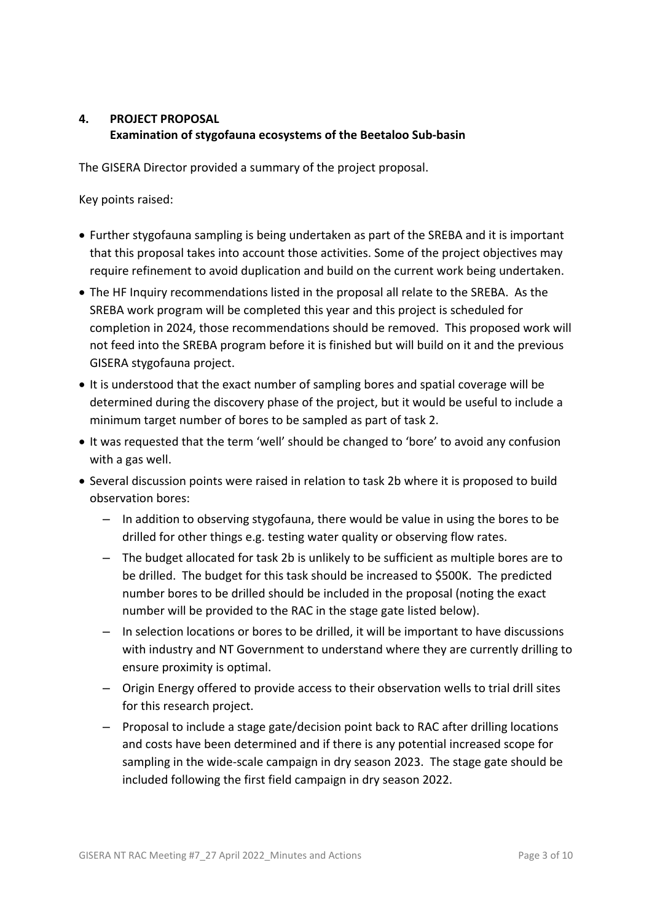# **4. PROJECT PROPOSAL Examination of stygofauna ecosystems of the Beetaloo Sub-basin**

The GISERA Director provided a summary of the project proposal.

- Further stygofauna sampling is being undertaken as part of the SREBA and it is important that this proposal takes into account those activities. Some of the project objectives may require refinement to avoid duplication and build on the current work being undertaken.
- The HF Inquiry recommendations listed in the proposal all relate to the SREBA. As the SREBA work program will be completed this year and this project is scheduled for completion in 2024, those recommendations should be removed. This proposed work will not feed into the SREBA program before it is finished but will build on it and the previous GISERA stygofauna project.
- It is understood that the exact number of sampling bores and spatial coverage will be determined during the discovery phase of the project, but it would be useful to include a minimum target number of bores to be sampled as part of task 2.
- It was requested that the term 'well' should be changed to 'bore' to avoid any confusion with a gas well.
- Several discussion points were raised in relation to task 2b where it is proposed to build observation bores:
	- In addition to observing stygofauna, there would be value in using the bores to be drilled for other things e.g. testing water quality or observing flow rates.
	- The budget allocated for task 2b is unlikely to be sufficient as multiple bores are to be drilled. The budget for this task should be increased to \$500K. The predicted number bores to be drilled should be included in the proposal (noting the exact number will be provided to the RAC in the stage gate listed below).
	- In selection locations or bores to be drilled, it will be important to have discussions with industry and NT Government to understand where they are currently drilling to ensure proximity is optimal.
	- Origin Energy offered to provide access to their observation wells to trial drill sites for this research project.
	- Proposal to include a stage gate/decision point back to RAC after drilling locations and costs have been determined and if there is any potential increased scope for sampling in the wide-scale campaign in dry season 2023. The stage gate should be included following the first field campaign in dry season 2022.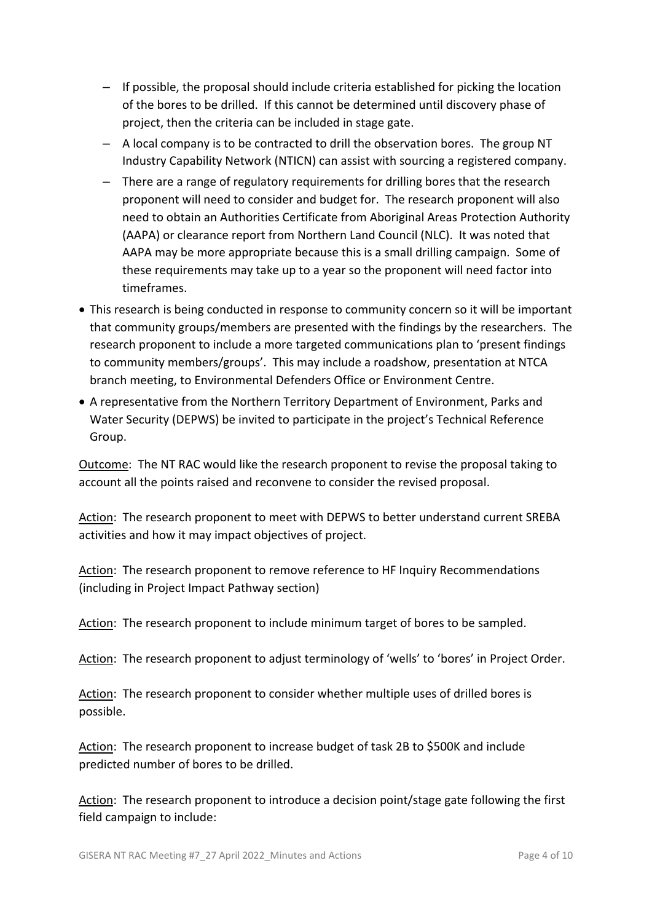- If possible, the proposal should include criteria established for picking the location of the bores to be drilled. If this cannot be determined until discovery phase of project, then the criteria can be included in stage gate.
- A local company is to be contracted to drill the observation bores. The group NT Industry Capability Network (NTICN) can assist with sourcing a registered company.
- There are a range of regulatory requirements for drilling bores that the research proponent will need to consider and budget for. The research proponent will also need to obtain an Authorities Certificate from Aboriginal Areas Protection Authority (AAPA) or clearance report from Northern Land Council (NLC). It was noted that AAPA may be more appropriate because this is a small drilling campaign. Some of these requirements may take up to a year so the proponent will need factor into timeframes.
- This research is being conducted in response to community concern so it will be important that community groups/members are presented with the findings by the researchers. The research proponent to include a more targeted communications plan to 'present findings to community members/groups'. This may include a roadshow, presentation at NTCA branch meeting, to Environmental Defenders Office or Environment Centre.
- A representative from the Northern Territory Department of Environment, Parks and Water Security (DEPWS) be invited to participate in the project's Technical Reference Group.

Outcome: The NT RAC would like the research proponent to revise the proposal taking to account all the points raised and reconvene to consider the revised proposal.

Action: The research proponent to meet with DEPWS to better understand current SREBA activities and how it may impact objectives of project.

Action: The research proponent to remove reference to HF Inquiry Recommendations (including in Project Impact Pathway section)

Action: The research proponent to include minimum target of bores to be sampled.

Action: The research proponent to adjust terminology of 'wells' to 'bores' in Project Order.

Action: The research proponent to consider whether multiple uses of drilled bores is possible.

Action: The research proponent to increase budget of task 2B to \$500K and include predicted number of bores to be drilled.

Action: The research proponent to introduce a decision point/stage gate following the first field campaign to include: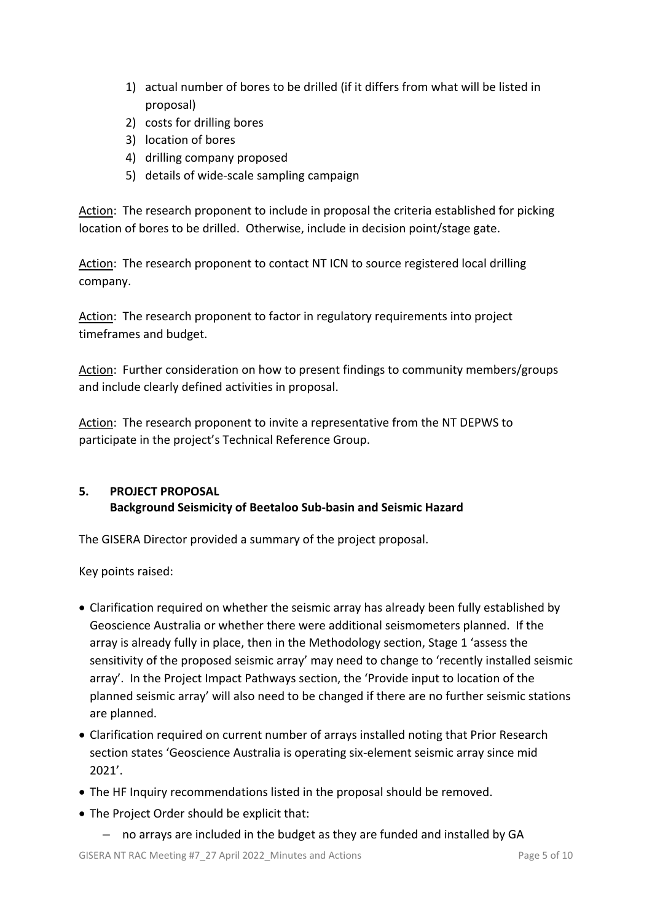- 1) actual number of bores to be drilled (if it differs from what will be listed in proposal)
- 2) costs for drilling bores
- 3) location of bores
- 4) drilling company proposed
- 5) details of wide-scale sampling campaign

Action: The research proponent to include in proposal the criteria established for picking location of bores to be drilled. Otherwise, include in decision point/stage gate.

Action: The research proponent to contact NT ICN to source registered local drilling company.

Action: The research proponent to factor in regulatory requirements into project timeframes and budget.

Action: Further consideration on how to present findings to community members/groups and include clearly defined activities in proposal.

Action: The research proponent to invite a representative from the NT DEPWS to participate in the project's Technical Reference Group.

# **5. PROJECT PROPOSAL Background Seismicity of Beetaloo Sub-basin and Seismic Hazard**

The GISERA Director provided a summary of the project proposal.

- Clarification required on whether the seismic array has already been fully established by Geoscience Australia or whether there were additional seismometers planned. If the array is already fully in place, then in the Methodology section, Stage 1 'assess the sensitivity of the proposed seismic array' may need to change to 'recently installed seismic array'. In the Project Impact Pathways section, the 'Provide input to location of the planned seismic array' will also need to be changed if there are no further seismic stations are planned.
- Clarification required on current number of arrays installed noting that Prior Research section states 'Geoscience Australia is operating six-element seismic array since mid 2021'.
- The HF Inquiry recommendations listed in the proposal should be removed.
- The Project Order should be explicit that:
	- no arrays are included in the budget as they are funded and installed by GA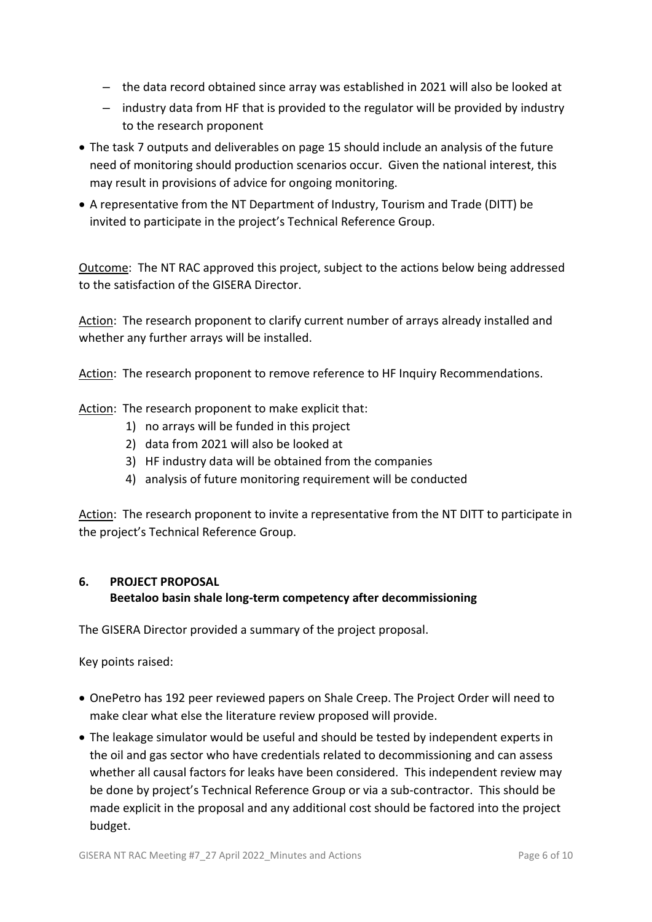- the data record obtained since array was established in 2021 will also be looked at
- industry data from HF that is provided to the regulator will be provided by industry to the research proponent
- The task 7 outputs and deliverables on page 15 should include an analysis of the future need of monitoring should production scenarios occur. Given the national interest, this may result in provisions of advice for ongoing monitoring.
- A representative from the NT Department of Industry, Tourism and Trade (DITT) be invited to participate in the project's Technical Reference Group.

Outcome: The NT RAC approved this project, subject to the actions below being addressed to the satisfaction of the GISERA Director.

Action: The research proponent to clarify current number of arrays already installed and whether any further arrays will be installed.

Action: The research proponent to remove reference to HF Inquiry Recommendations.

Action: The research proponent to make explicit that:

- 1) no arrays will be funded in this project
- 2) data from 2021 will also be looked at
- 3) HF industry data will be obtained from the companies
- 4) analysis of future monitoring requirement will be conducted

Action: The research proponent to invite a representative from the NT DITT to participate in the project's Technical Reference Group.

# **6. PROJECT PROPOSAL**

# **Beetaloo basin shale long-term competency after decommissioning**

The GISERA Director provided a summary of the project proposal.

- OnePetro has 192 peer reviewed papers on Shale Creep. The Project Order will need to make clear what else the literature review proposed will provide.
- The leakage simulator would be useful and should be tested by independent experts in the oil and gas sector who have credentials related to decommissioning and can assess whether all causal factors for leaks have been considered. This independent review may be done by project's Technical Reference Group or via a sub-contractor. This should be made explicit in the proposal and any additional cost should be factored into the project budget.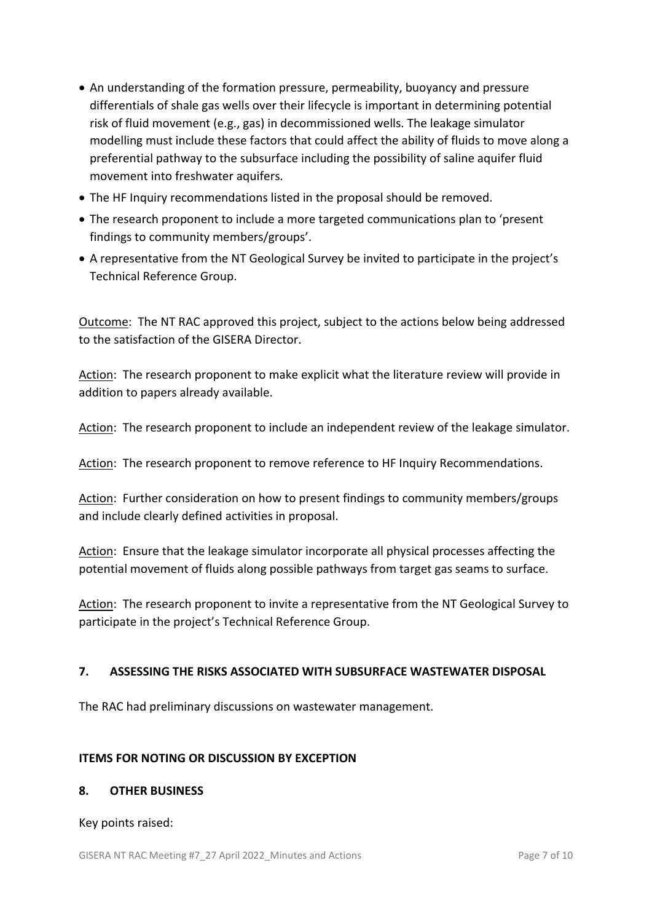- An understanding of the formation pressure, permeability, buoyancy and pressure differentials of shale gas wells over their lifecycle is important in determining potential risk of fluid movement (e.g., gas) in decommissioned wells. The leakage simulator modelling must include these factors that could affect the ability of fluids to move along a preferential pathway to the subsurface including the possibility of saline aquifer fluid movement into freshwater aquifers.
- The HF Inquiry recommendations listed in the proposal should be removed.
- The research proponent to include a more targeted communications plan to 'present findings to community members/groups'.
- A representative from the NT Geological Survey be invited to participate in the project's Technical Reference Group.

Outcome: The NT RAC approved this project, subject to the actions below being addressed to the satisfaction of the GISERA Director.

Action: The research proponent to make explicit what the literature review will provide in addition to papers already available.

Action: The research proponent to include an independent review of the leakage simulator.

Action: The research proponent to remove reference to HF Inquiry Recommendations.

Action: Further consideration on how to present findings to community members/groups and include clearly defined activities in proposal.

Action: Ensure that the leakage simulator incorporate all physical processes affecting the potential movement of fluids along possible pathways from target gas seams to surface.

Action: The research proponent to invite a representative from the NT Geological Survey to participate in the project's Technical Reference Group.

# **7. ASSESSING THE RISKS ASSOCIATED WITH SUBSURFACE WASTEWATER DISPOSAL**

The RAC had preliminary discussions on wastewater management.

### **ITEMS FOR NOTING OR DISCUSSION BY EXCEPTION**

### **8. OTHER BUSINESS**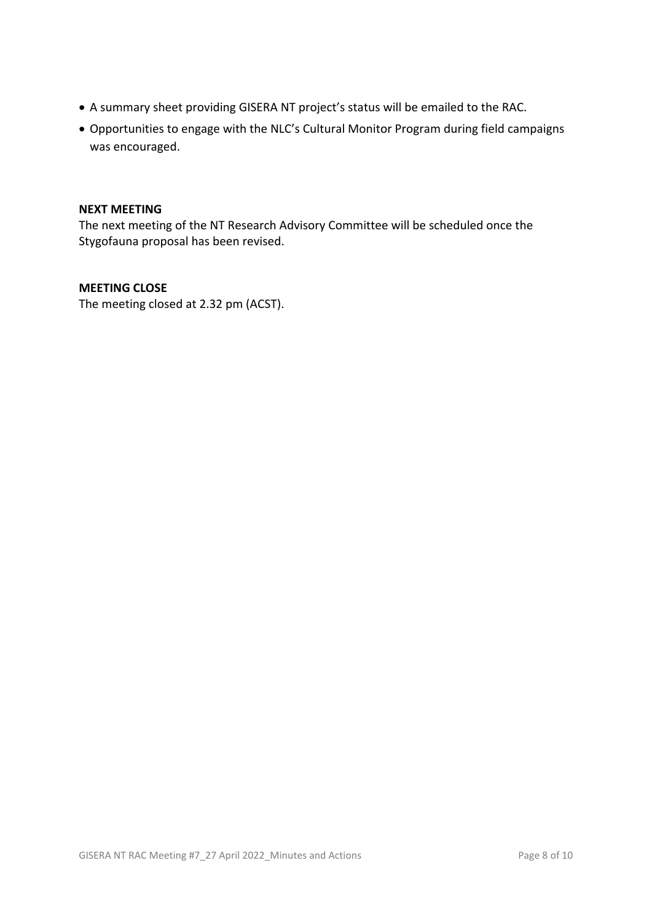- A summary sheet providing GISERA NT project's status will be emailed to the RAC.
- Opportunities to engage with the NLC's Cultural Monitor Program during field campaigns was encouraged.

### **NEXT MEETING**

The next meeting of the NT Research Advisory Committee will be scheduled once the Stygofauna proposal has been revised.

#### **MEETING CLOSE**

The meeting closed at 2.32 pm (ACST).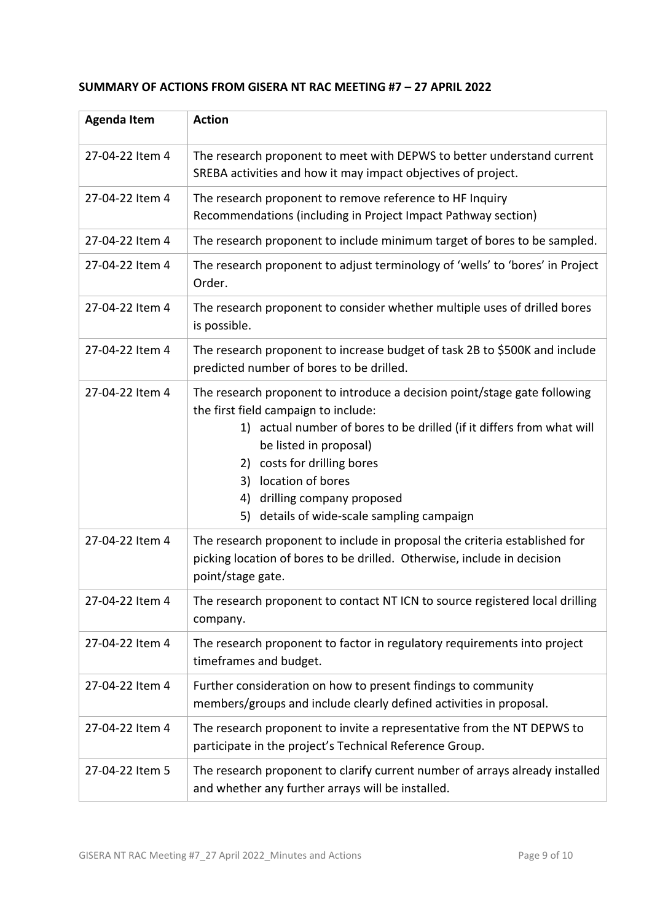# **SUMMARY OF ACTIONS FROM GISERA NT RAC MEETING #7 – 27 APRIL 2022**

| <b>Agenda Item</b> | <b>Action</b>                                                                                                                                                                                                                                                                                                                                                   |
|--------------------|-----------------------------------------------------------------------------------------------------------------------------------------------------------------------------------------------------------------------------------------------------------------------------------------------------------------------------------------------------------------|
| 27-04-22 Item 4    | The research proponent to meet with DEPWS to better understand current<br>SREBA activities and how it may impact objectives of project.                                                                                                                                                                                                                         |
| 27-04-22 Item 4    | The research proponent to remove reference to HF Inquiry<br>Recommendations (including in Project Impact Pathway section)                                                                                                                                                                                                                                       |
| 27-04-22 Item 4    | The research proponent to include minimum target of bores to be sampled.                                                                                                                                                                                                                                                                                        |
| 27-04-22 Item 4    | The research proponent to adjust terminology of 'wells' to 'bores' in Project<br>Order.                                                                                                                                                                                                                                                                         |
| 27-04-22 Item 4    | The research proponent to consider whether multiple uses of drilled bores<br>is possible.                                                                                                                                                                                                                                                                       |
| 27-04-22 Item 4    | The research proponent to increase budget of task 2B to \$500K and include<br>predicted number of bores to be drilled.                                                                                                                                                                                                                                          |
| 27-04-22 Item 4    | The research proponent to introduce a decision point/stage gate following<br>the first field campaign to include:<br>1) actual number of bores to be drilled (if it differs from what will<br>be listed in proposal)<br>2) costs for drilling bores<br>3) location of bores<br>drilling company proposed<br>4)<br>details of wide-scale sampling campaign<br>5) |
| 27-04-22 Item 4    | The research proponent to include in proposal the criteria established for<br>picking location of bores to be drilled. Otherwise, include in decision<br>point/stage gate.                                                                                                                                                                                      |
| 27-04-22 Item 4    | The research proponent to contact NT ICN to source registered local drilling<br>company.                                                                                                                                                                                                                                                                        |
| 27-04-22 Item 4    | The research proponent to factor in regulatory requirements into project<br>timeframes and budget.                                                                                                                                                                                                                                                              |
| 27-04-22 Item 4    | Further consideration on how to present findings to community<br>members/groups and include clearly defined activities in proposal.                                                                                                                                                                                                                             |
| 27-04-22 Item 4    | The research proponent to invite a representative from the NT DEPWS to<br>participate in the project's Technical Reference Group.                                                                                                                                                                                                                               |
| 27-04-22 Item 5    | The research proponent to clarify current number of arrays already installed<br>and whether any further arrays will be installed.                                                                                                                                                                                                                               |